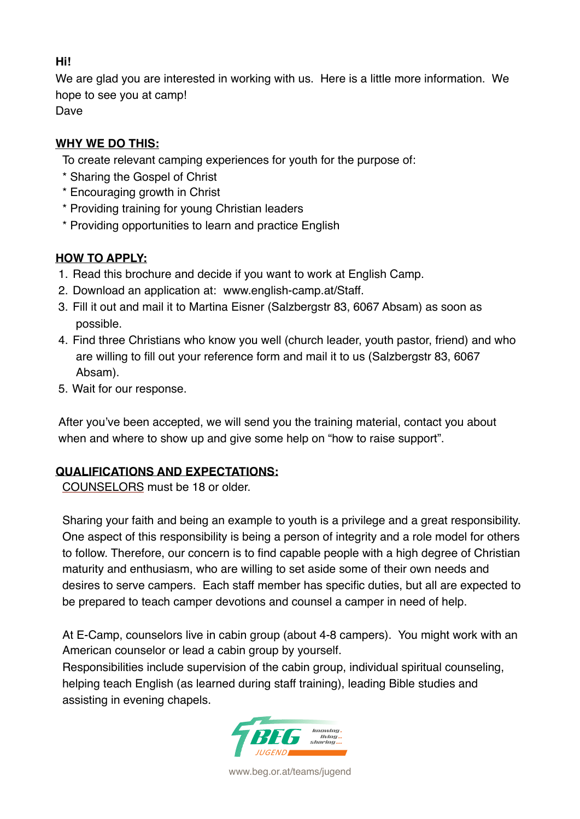### **Hi!**

We are glad you are interested in working with us. Here is a little more information. We hope to see you at camp! Dave

**WHY WE DO THIS:**

To create relevant camping experiences for youth for the purpose of:

- \* Sharing the Gospel of Christ
- \* Encouraging growth in Christ
- \* Providing training for young Christian leaders
- \* Providing opportunities to learn and practice English

### **HOW TO APPLY:**

- 1. Read this brochure and decide if you want to work at English Camp.
- 2. Download an application at: www.english-camp.at/Staff.
- 3. Fill it out and mail it to Martina Eisner (Salzbergstr 83, 6067 Absam) as soon as possible.
- 4. Find three Christians who know you well (church leader, youth pastor, friend) and who are willing to fill out your reference form and mail it to us (Salzbergstr 83, 6067 Absam).
- 5. Wait for our response.

After you've been accepted, we will send you the training material, contact you about when and where to show up and give some help on "how to raise support".

# **QUALIFICATIONS AND EXPECTATIONS:**

COUNSELORS must be 18 or older.

Sharing your faith and being an example to youth is a privilege and a great responsibility. One aspect of this responsibility is being a person of integrity and a role model for others to follow. Therefore, our concern is to find capable people with a high degree of Christian maturity and enthusiasm, who are willing to set aside some of their own needs and desires to serve campers. Each staff member has specific duties, but all are expected to be prepared to teach camper devotions and counsel a camper in need of help.

At E-Camp, counselors live in cabin group (about 4-8 campers). You might work with an American counselor or lead a cabin group by yourself.

Responsibilities include supervision of the cabin group, individual spiritual counseling, helping teach English (as learned during staff training), leading Bible studies and assisting in evening chapels.



www.beg.or.at/teams/jugend